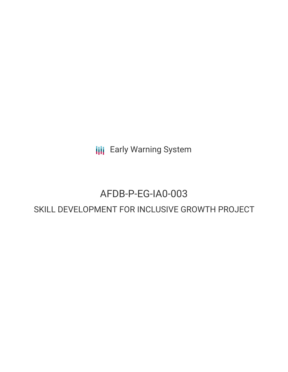**III** Early Warning System

## AFDB-P-EG-IA0-003

### SKILL DEVELOPMENT FOR INCLUSIVE GROWTH PROJECT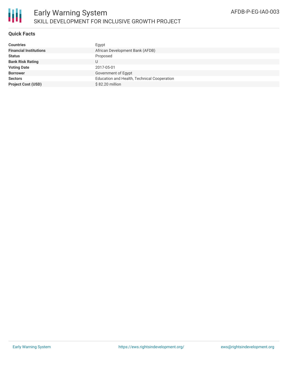

### **Quick Facts**

| <b>Countries</b>              | Egypt                                       |
|-------------------------------|---------------------------------------------|
| <b>Financial Institutions</b> | African Development Bank (AFDB)             |
| <b>Status</b>                 | Proposed                                    |
| <b>Bank Risk Rating</b>       | U                                           |
| <b>Voting Date</b>            | 2017-05-01                                  |
| <b>Borrower</b>               | Government of Egypt                         |
| <b>Sectors</b>                | Education and Health, Technical Cooperation |
| <b>Project Cost (USD)</b>     | \$82.20 million                             |
|                               |                                             |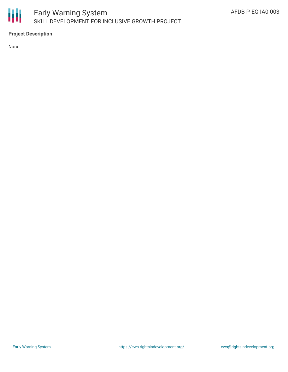

### **Project Description**

None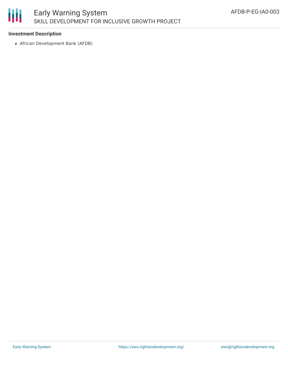# Ш

### **Investment Description**

African Development Bank (AFDB)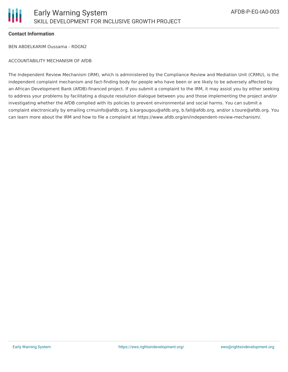### **Contact Information**

BEN ABDELKARIM Oussama - RDGN2

### ACCOUNTABILITY MECHANISM OF AfDB

The Independent Review Mechanism (IRM), which is administered by the Compliance Review and Mediation Unit (CRMU), is the independent complaint mechanism and fact-finding body for people who have been or are likely to be adversely affected by an African Development Bank (AfDB)-financed project. If you submit a complaint to the IRM, it may assist you by either seeking to address your problems by facilitating a dispute resolution dialogue between you and those implementing the project and/or investigating whether the AfDB complied with its policies to prevent environmental and social harms. You can submit a complaint electronically by emailing crmuinfo@afdb.org, b.kargougou@afdb.org, b.fall@afdb.org, and/or s.toure@afdb.org. You can learn more about the IRM and how to file a complaint at https://www.afdb.org/en/independent-review-mechanism/.